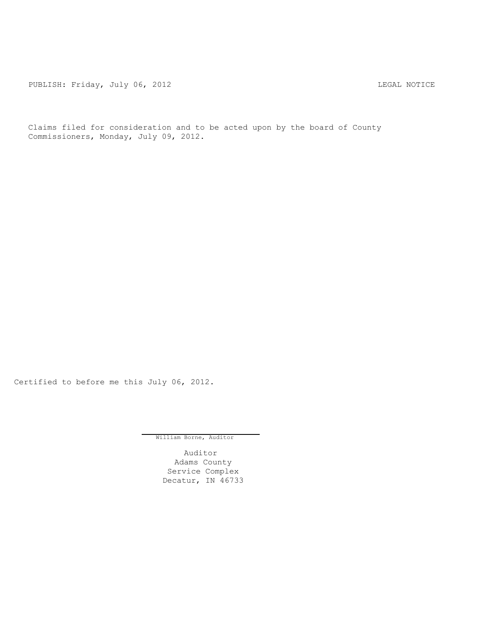PUBLISH: Friday, July 06, 2012 LEGAL NOTICE

Claims filed for consideration and to be acted upon by the board of County Commissioners, Monday, July 09, 2012.

Certified to before me this July 06, 2012.

William Borne, Auditor

Auditor Adams County Service Complex Decatur, IN 46733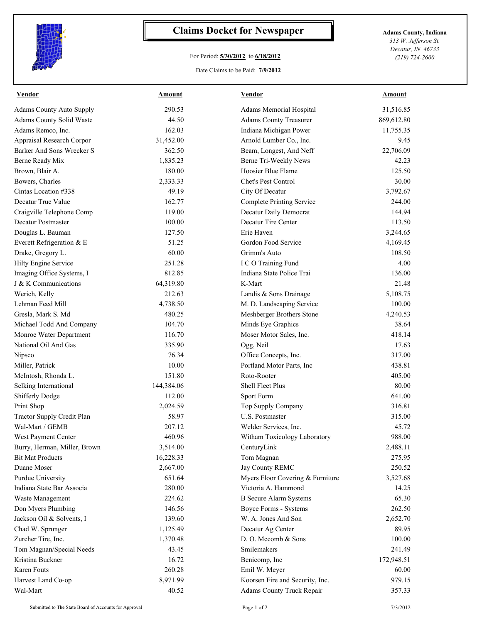

## **Claims Docket for Newspaper Adams County, Indiana**

## For Period: **5/30/2012** to **6/18/2012**

*313 W. Jefferson St. Decatur, IN 46733 (219) 724-2600*

## Date Claims to be Paid: **7/9/2012**

| <b>Vendor</b>                   | Amount     | <b>Vendor</b>                    | Amount     |
|---------------------------------|------------|----------------------------------|------------|
| <b>Adams County Auto Supply</b> | 290.53     | Adams Memorial Hospital          | 31,516.85  |
| Adams County Solid Waste        | 44.50      | <b>Adams County Treasurer</b>    | 869,612.80 |
| Adams Remco, Inc.               | 162.03     | Indiana Michigan Power           | 11,755.35  |
| Appraisal Research Corpor       | 31,452.00  | Arnold Lumber Co., Inc.          | 9.45       |
| Barker And Sons Wrecker S       | 362.50     | Beam, Longest, And Neff          | 22,706.09  |
| Berne Ready Mix                 | 1,835.23   | Berne Tri-Weekly News            | 42.23      |
| Brown, Blair A.                 | 180.00     | Hoosier Blue Flame               | 125.50     |
| Bowers, Charles                 | 2,333.33   | Chet's Pest Control              | 30.00      |
| Cintas Location #338            | 49.19      | City Of Decatur                  | 3,792.67   |
| Decatur True Value              | 162.77     | <b>Complete Printing Service</b> | 244.00     |
| Craigville Telephone Comp       | 119.00     | Decatur Daily Democrat           | 144.94     |
| Decatur Postmaster              | 100.00     | Decatur Tire Center              | 113.50     |
| Douglas L. Bauman               | 127.50     | Erie Haven                       | 3,244.65   |
| Everett Refrigeration & E       | 51.25      | Gordon Food Service              | 4,169.45   |
| Drake, Gregory L.               | 60.00      | Grimm's Auto                     | 108.50     |
| Hilty Engine Service            | 251.28     | I C O Training Fund              | 4.00       |
| Imaging Office Systems, I       | 812.85     | Indiana State Police Trai        | 136.00     |
| J & K Communications            | 64,319.80  | K-Mart                           | 21.48      |
| Werich, Kelly                   | 212.63     | Landis & Sons Drainage           | 5,108.75   |
| Lehman Feed Mill                | 4,738.50   | M. D. Landscaping Service        | 100.00     |
| Gresla, Mark S. Md              | 480.25     | Meshberger Brothers Stone        | 4,240.53   |
| Michael Todd And Company        | 104.70     | Minds Eye Graphics               | 38.64      |
| Monroe Water Department         | 116.70     | Moser Motor Sales, Inc.          | 418.14     |
| National Oil And Gas            | 335.90     | Ogg, Neil                        | 17.63      |
| Nipsco                          | 76.34      | Office Concepts, Inc.            | 317.00     |
| Miller, Patrick                 | 10.00      | Portland Motor Parts, Inc        | 438.81     |
| McIntosh, Rhonda L.             | 151.80     | Roto-Rooter                      | 405.00     |
| Selking International           | 144,384.06 | <b>Shell Fleet Plus</b>          | 80.00      |
| <b>Shifferly Dodge</b>          | 112.00     | Sport Form                       | 641.00     |
| Print Shop                      | 2,024.59   | Top Supply Company               | 316.81     |
| Tractor Supply Credit Plan      | 58.97      | U.S. Postmaster                  | 315.00     |
| Wal-Mart / GEMB                 | 207.12     | Welder Services, Inc.            | 45.72      |
| West Payment Center             | 460.96     | Witham Toxicology Laboratory     | 988.00     |
| Burry, Herman, Miller, Brown    | 3,514.00   | CenturyLink                      | 2,488.11   |
| <b>Bit Mat Products</b>         | 16,228.33  | Tom Magnan                       | 275.95     |
| Duane Moser                     | 2,667.00   | Jay County REMC                  | 250.52     |
| Purdue University               | 651.64     | Myers Floor Covering & Furniture | 3,527.68   |
| Indiana State Bar Associa       | 280.00     | Victoria A. Hammond              | 14.25      |
| Waste Management                | 224.62     | <b>B</b> Secure Alarm Systems    | 65.30      |
| Don Myers Plumbing              | 146.56     | Boyce Forms - Systems            | 262.50     |
| Jackson Oil & Solvents, I       | 139.60     | W. A. Jones And Son              | 2,652.70   |
| Chad W. Sprunger                | 1,125.49   | Decatur Ag Center                | 89.95      |
| Zurcher Tire, Inc.              | 1,370.48   | D. O. Mccomb & Sons              | 100.00     |
| Tom Magnan/Special Needs        | 43.45      | Smilemakers                      | 241.49     |
| Kristina Buckner                | 16.72      | Benicomp, Inc                    | 172,948.51 |
| Karen Fouts                     | 260.28     | Emil W. Meyer                    | 60.00      |
| Harvest Land Co-op              | 8,971.99   | Koorsen Fire and Security, Inc.  | 979.15     |
| Wal-Mart                        | 40.52      | Adams County Truck Repair        | 357.33     |
|                                 |            |                                  |            |